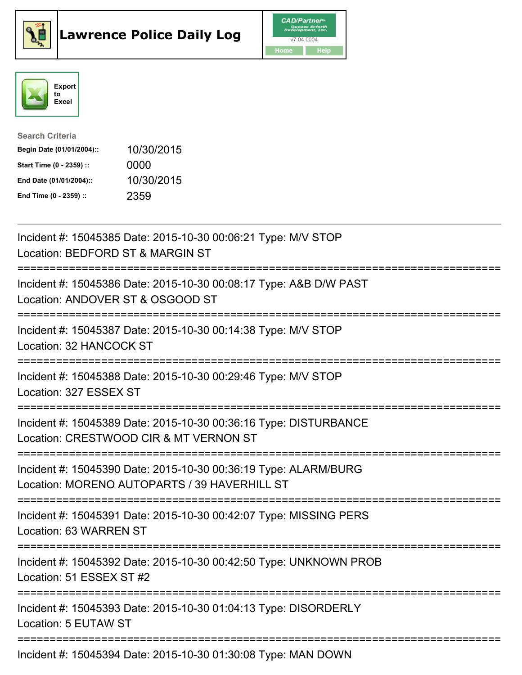





| <b>Search Criteria</b>    |            |
|---------------------------|------------|
| Begin Date (01/01/2004):: | 10/30/2015 |
| Start Time (0 - 2359) ::  | 0000       |
| End Date (01/01/2004)::   | 10/30/2015 |
| End Time (0 - 2359) ::    | 2359       |

| Incident #: 15045385 Date: 2015-10-30 00:06:21 Type: M/V STOP<br>Location: BEDFORD ST & MARGIN ST                                                                                            |
|----------------------------------------------------------------------------------------------------------------------------------------------------------------------------------------------|
| Incident #: 15045386 Date: 2015-10-30 00:08:17 Type: A&B D/W PAST<br>Location: ANDOVER ST & OSGOOD ST<br>=====================                                                               |
| Incident #: 15045387 Date: 2015-10-30 00:14:38 Type: M/V STOP<br>Location: 32 HANCOCK ST                                                                                                     |
| Incident #: 15045388 Date: 2015-10-30 00:29:46 Type: M/V STOP<br>Location: 327 ESSEX ST<br>=================================                                                                 |
| Incident #: 15045389 Date: 2015-10-30 00:36:16 Type: DISTURBANCE<br>Location: CRESTWOOD CIR & MT VERNON ST<br>======================================<br>=================================    |
| Incident #: 15045390 Date: 2015-10-30 00:36:19 Type: ALARM/BURG<br>Location: MORENO AUTOPARTS / 39 HAVERHILL ST<br>====================================<br>================================= |
| Incident #: 15045391 Date: 2015-10-30 00:42:07 Type: MISSING PERS<br>Location: 63 WARREN ST                                                                                                  |
| Incident #: 15045392 Date: 2015-10-30 00:42:50 Type: UNKNOWN PROB<br>Location: 51 ESSEX ST #2                                                                                                |
| Incident #: 15045393 Date: 2015-10-30 01:04:13 Type: DISORDERLY<br>Location: 5 EUTAW ST                                                                                                      |
| Incident #: 15045394 Date: 2015-10-30 01:30:08 Type: MAN DOWN                                                                                                                                |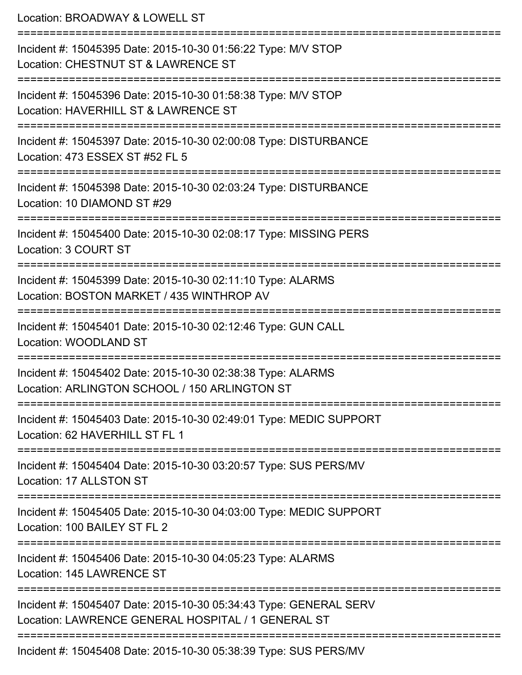Location: BROADWAY & LOWELL ST =========================================================================== Incident #: 15045395 Date: 2015-10-30 01:56:22 Type: M/V STOP Location: CHESTNUT ST & LAWRENCE ST =========================================================================== Incident #: 15045396 Date: 2015-10-30 01:58:38 Type: M/V STOP Location: HAVERHILL ST & LAWRENCE ST =========================================================================== Incident #: 15045397 Date: 2015-10-30 02:00:08 Type: DISTURBANCE Location: 473 ESSEX ST #52 FL 5 =========================================================================== Incident #: 15045398 Date: 2015-10-30 02:03:24 Type: DISTURBANCE Location: 10 DIAMOND ST #29 =========================================================================== Incident #: 15045400 Date: 2015-10-30 02:08:17 Type: MISSING PERS Location: 3 COURT ST =========================================================================== Incident #: 15045399 Date: 2015-10-30 02:11:10 Type: ALARMS Location: BOSTON MARKET / 435 WINTHROP AV =========================================================================== Incident #: 15045401 Date: 2015-10-30 02:12:46 Type: GUN CALL Location: WOODLAND ST =========================================================================== Incident #: 15045402 Date: 2015-10-30 02:38:38 Type: ALARMS Location: ARLINGTON SCHOOL / 150 ARLINGTON ST =========================================================================== Incident #: 15045403 Date: 2015-10-30 02:49:01 Type: MEDIC SUPPORT Location: 62 HAVERHILL ST FL 1 =========================================================================== Incident #: 15045404 Date: 2015-10-30 03:20:57 Type: SUS PERS/MV Location: 17 ALLSTON ST =========================================================================== Incident #: 15045405 Date: 2015-10-30 04:03:00 Type: MEDIC SUPPORT Location: 100 BAILEY ST FL 2 =========================================================================== Incident #: 15045406 Date: 2015-10-30 04:05:23 Type: ALARMS Location: 145 LAWRENCE ST =========================================================================== Incident #: 15045407 Date: 2015-10-30 05:34:43 Type: GENERAL SERV Location: LAWRENCE GENERAL HOSPITAL / 1 GENERAL ST =========================================================================== Incident #: 15045408 Date: 2015-10-30 05:38:39 Type: SUS PERS/MV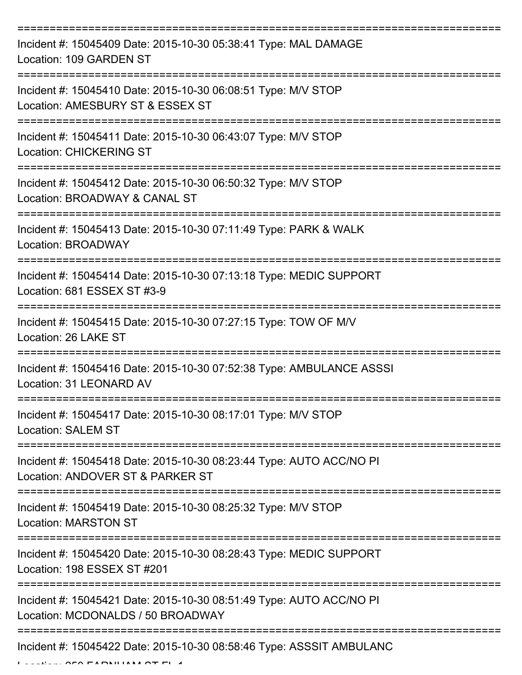| Incident #: 15045409 Date: 2015-10-30 05:38:41 Type: MAL DAMAGE<br>Location: 109 GARDEN ST               |
|----------------------------------------------------------------------------------------------------------|
| Incident #: 15045410 Date: 2015-10-30 06:08:51 Type: M/V STOP<br>Location: AMESBURY ST & ESSEX ST        |
| Incident #: 15045411 Date: 2015-10-30 06:43:07 Type: M/V STOP<br><b>Location: CHICKERING ST</b>          |
| Incident #: 15045412 Date: 2015-10-30 06:50:32 Type: M/V STOP<br>Location: BROADWAY & CANAL ST           |
| Incident #: 15045413 Date: 2015-10-30 07:11:49 Type: PARK & WALK<br>Location: BROADWAY                   |
| Incident #: 15045414 Date: 2015-10-30 07:13:18 Type: MEDIC SUPPORT<br>Location: 681 ESSEX ST #3-9        |
| Incident #: 15045415 Date: 2015-10-30 07:27:15 Type: TOW OF M/V<br>Location: 26 LAKE ST                  |
| Incident #: 15045416 Date: 2015-10-30 07:52:38 Type: AMBULANCE ASSSI<br>Location: 31 LEONARD AV          |
| Incident #: 15045417 Date: 2015-10-30 08:17:01 Type: M/V STOP<br><b>Location: SALEM ST</b>               |
| Incident #: 15045418 Date: 2015-10-30 08:23:44 Type: AUTO ACC/NO PI<br>Location: ANDOVER ST & PARKER ST  |
| Incident #: 15045419 Date: 2015-10-30 08:25:32 Type: M/V STOP<br><b>Location: MARSTON ST</b>             |
| Incident #: 15045420 Date: 2015-10-30 08:28:43 Type: MEDIC SUPPORT<br>Location: 198 ESSEX ST #201        |
| Incident #: 15045421 Date: 2015-10-30 08:51:49 Type: AUTO ACC/NO PI<br>Location: MCDONALDS / 50 BROADWAY |
| Incident #: 15045422 Date: 2015-10-30 08:58:46 Type: ASSSIT AMBULANC                                     |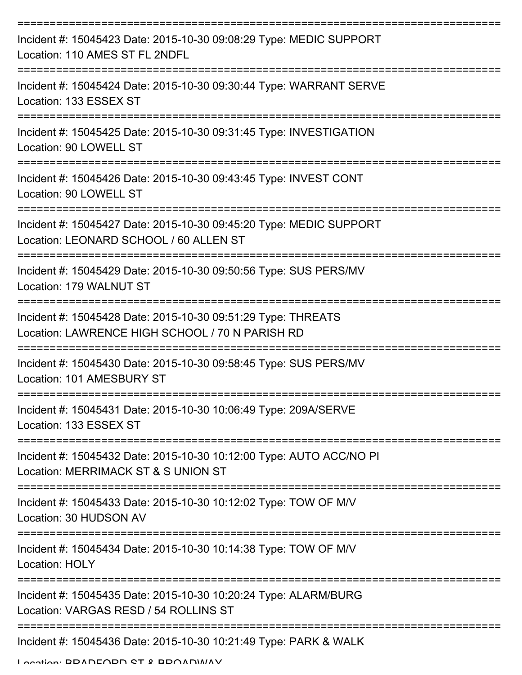| Incident #: 15045423 Date: 2015-10-30 09:08:29 Type: MEDIC SUPPORT<br>Location: 110 AMES ST FL 2NDFL                                 |
|--------------------------------------------------------------------------------------------------------------------------------------|
| Incident #: 15045424 Date: 2015-10-30 09:30:44 Type: WARRANT SERVE<br>Location: 133 ESSEX ST                                         |
| Incident #: 15045425 Date: 2015-10-30 09:31:45 Type: INVESTIGATION<br>Location: 90 LOWELL ST                                         |
| Incident #: 15045426 Date: 2015-10-30 09:43:45 Type: INVEST CONT<br>Location: 90 LOWELL ST                                           |
| Incident #: 15045427 Date: 2015-10-30 09:45:20 Type: MEDIC SUPPORT<br>Location: LEONARD SCHOOL / 60 ALLEN ST<br>==================== |
| Incident #: 15045429 Date: 2015-10-30 09:50:56 Type: SUS PERS/MV<br>Location: 179 WALNUT ST                                          |
| Incident #: 15045428 Date: 2015-10-30 09:51:29 Type: THREATS<br>Location: LAWRENCE HIGH SCHOOL / 70 N PARISH RD                      |
| Incident #: 15045430 Date: 2015-10-30 09:58:45 Type: SUS PERS/MV<br>Location: 101 AMESBURY ST                                        |
| Incident #: 15045431 Date: 2015-10-30 10:06:49 Type: 209A/SERVE<br>Location: 133 ESSEX ST                                            |
| Incident #: 15045432 Date: 2015-10-30 10:12:00 Type: AUTO ACC/NO PI<br>Location: MERRIMACK ST & S UNION ST                           |
| Incident #: 15045433 Date: 2015-10-30 10:12:02 Type: TOW OF M/V<br>Location: 30 HUDSON AV                                            |
| Incident #: 15045434 Date: 2015-10-30 10:14:38 Type: TOW OF M/V<br>Location: HOLY                                                    |
| Incident #: 15045435 Date: 2015-10-30 10:20:24 Type: ALARM/BURG<br>Location: VARGAS RESD / 54 ROLLINS ST                             |
| Incident #: 15045436 Date: 2015-10-30 10:21:49 Type: PARK & WALK                                                                     |

Location: BRADFORD ST & BROADWAY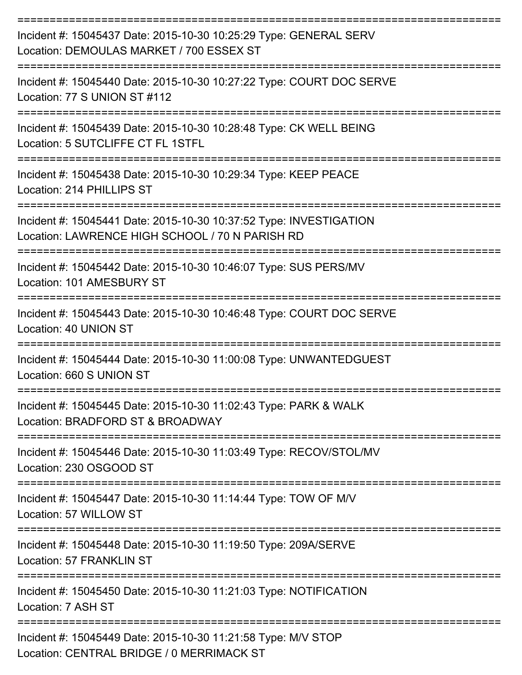| Incident #: 15045437 Date: 2015-10-30 10:25:29 Type: GENERAL SERV<br>Location: DEMOULAS MARKET / 700 ESSEX ST         |
|-----------------------------------------------------------------------------------------------------------------------|
| Incident #: 15045440 Date: 2015-10-30 10:27:22 Type: COURT DOC SERVE<br>Location: 77 S UNION ST #112                  |
| Incident #: 15045439 Date: 2015-10-30 10:28:48 Type: CK WELL BEING<br>Location: 5 SUTCLIFFE CT FL 1STFL               |
| Incident #: 15045438 Date: 2015-10-30 10:29:34 Type: KEEP PEACE<br>Location: 214 PHILLIPS ST                          |
| Incident #: 15045441 Date: 2015-10-30 10:37:52 Type: INVESTIGATION<br>Location: LAWRENCE HIGH SCHOOL / 70 N PARISH RD |
| Incident #: 15045442 Date: 2015-10-30 10:46:07 Type: SUS PERS/MV<br>Location: 101 AMESBURY ST                         |
| Incident #: 15045443 Date: 2015-10-30 10:46:48 Type: COURT DOC SERVE<br>Location: 40 UNION ST                         |
| Incident #: 15045444 Date: 2015-10-30 11:00:08 Type: UNWANTEDGUEST<br>Location: 660 S UNION ST                        |
| Incident #: 15045445 Date: 2015-10-30 11:02:43 Type: PARK & WALK<br>Location: BRADFORD ST & BROADWAY                  |
| Incident #: 15045446 Date: 2015-10-30 11:03:49 Type: RECOV/STOL/MV<br>Location: 230 OSGOOD ST                         |
| Incident #: 15045447 Date: 2015-10-30 11:14:44 Type: TOW OF M/V<br>Location: 57 WILLOW ST                             |
| Incident #: 15045448 Date: 2015-10-30 11:19:50 Type: 209A/SERVE<br><b>Location: 57 FRANKLIN ST</b>                    |
| Incident #: 15045450 Date: 2015-10-30 11:21:03 Type: NOTIFICATION<br>Location: 7 ASH ST                               |
| Incident #: 15045449 Date: 2015-10-30 11:21:58 Type: M/V STOP<br>Location: CENTRAL BRIDGE / 0 MERRIMACK ST            |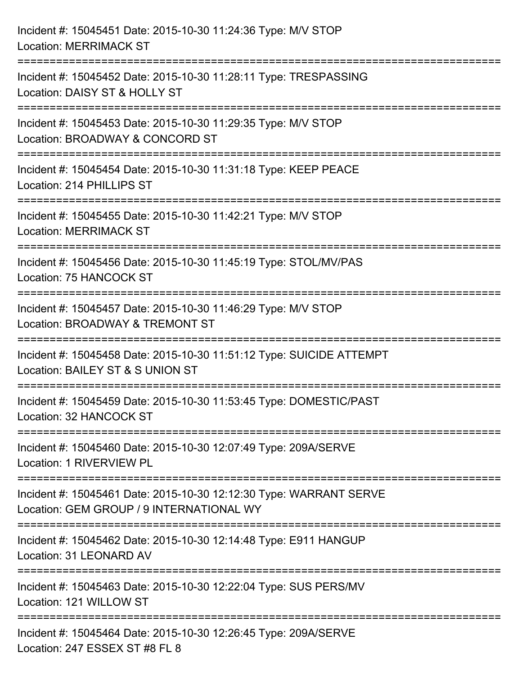| Incident #: 15045451 Date: 2015-10-30 11:24:36 Type: M/V STOP<br><b>Location: MERRIMACK ST</b>                                          |
|-----------------------------------------------------------------------------------------------------------------------------------------|
| ==================================<br>Incident #: 15045452 Date: 2015-10-30 11:28:11 Type: TRESPASSING<br>Location: DAISY ST & HOLLY ST |
| ====================<br>Incident #: 15045453 Date: 2015-10-30 11:29:35 Type: M/V STOP<br>Location: BROADWAY & CONCORD ST                |
| Incident #: 15045454 Date: 2015-10-30 11:31:18 Type: KEEP PEACE<br>Location: 214 PHILLIPS ST<br>:===================================    |
| Incident #: 15045455 Date: 2015-10-30 11:42:21 Type: M/V STOP<br><b>Location: MERRIMACK ST</b>                                          |
| Incident #: 15045456 Date: 2015-10-30 11:45:19 Type: STOL/MV/PAS<br>Location: 75 HANCOCK ST                                             |
| Incident #: 15045457 Date: 2015-10-30 11:46:29 Type: M/V STOP<br>Location: BROADWAY & TREMONT ST                                        |
| Incident #: 15045458 Date: 2015-10-30 11:51:12 Type: SUICIDE ATTEMPT<br>Location: BAILEY ST & S UNION ST                                |
| Incident #: 15045459 Date: 2015-10-30 11:53:45 Type: DOMESTIC/PAST<br>Location: 32 HANCOCK ST                                           |
| Incident #: 15045460 Date: 2015-10-30 12:07:49 Type: 209A/SERVE<br>Location: 1 RIVERVIEW PL                                             |
| Incident #: 15045461 Date: 2015-10-30 12:12:30 Type: WARRANT SERVE<br>Location: GEM GROUP / 9 INTERNATIONAL WY                          |
| Incident #: 15045462 Date: 2015-10-30 12:14:48 Type: E911 HANGUP<br>Location: 31 LEONARD AV                                             |
| Incident #: 15045463 Date: 2015-10-30 12:22:04 Type: SUS PERS/MV<br>Location: 121 WILLOW ST                                             |
| Incident #: 15045464 Date: 2015-10-30 12:26:45 Type: 209A/SERVE<br>Location: 247 ESSEX ST #8 FL 8                                       |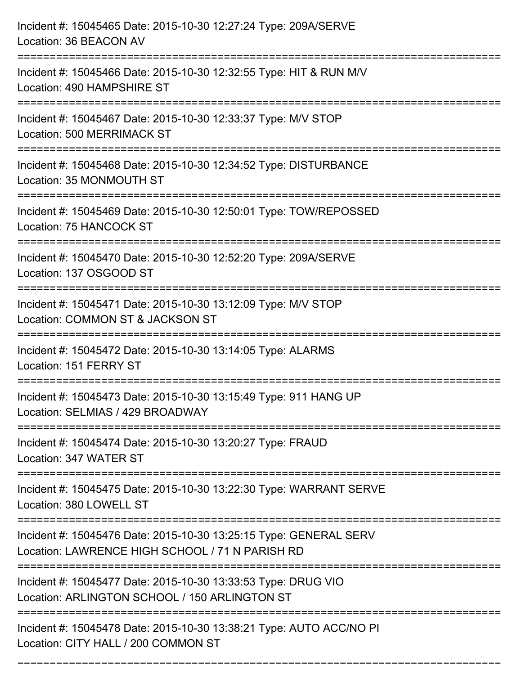| Incident #: 15045465 Date: 2015-10-30 12:27:24 Type: 209A/SERVE<br>Location: 36 BEACON AV                                                                          |
|--------------------------------------------------------------------------------------------------------------------------------------------------------------------|
| ===========================<br>Incident #: 15045466 Date: 2015-10-30 12:32:55 Type: HIT & RUN M/V<br>Location: 490 HAMPSHIRE ST                                    |
| Incident #: 15045467 Date: 2015-10-30 12:33:37 Type: M/V STOP<br>Location: 500 MERRIMACK ST<br>==================================<br>============================= |
| Incident #: 15045468 Date: 2015-10-30 12:34:52 Type: DISTURBANCE<br>Location: 35 MONMOUTH ST                                                                       |
| Incident #: 15045469 Date: 2015-10-30 12:50:01 Type: TOW/REPOSSED<br>Location: 75 HANCOCK ST<br>----------------------------                                       |
| Incident #: 15045470 Date: 2015-10-30 12:52:20 Type: 209A/SERVE<br>Location: 137 OSGOOD ST                                                                         |
| Incident #: 15045471 Date: 2015-10-30 13:12:09 Type: M/V STOP<br>Location: COMMON ST & JACKSON ST                                                                  |
| Incident #: 15045472 Date: 2015-10-30 13:14:05 Type: ALARMS<br>Location: 151 FERRY ST                                                                              |
| Incident #: 15045473 Date: 2015-10-30 13:15:49 Type: 911 HANG UP<br>Location: SELMIAS / 429 BROADWAY                                                               |
| Incident #: 15045474 Date: 2015-10-30 13:20:27 Type: FRAUD<br>Location: 347 WATER ST                                                                               |
| Incident #: 15045475 Date: 2015-10-30 13:22:30 Type: WARRANT SERVE<br>Location: 380 LOWELL ST                                                                      |
| Incident #: 15045476 Date: 2015-10-30 13:25:15 Type: GENERAL SERV<br>Location: LAWRENCE HIGH SCHOOL / 71 N PARISH RD                                               |
| Incident #: 15045477 Date: 2015-10-30 13:33:53 Type: DRUG VIO<br>Location: ARLINGTON SCHOOL / 150 ARLINGTON ST                                                     |
| Incident #: 15045478 Date: 2015-10-30 13:38:21 Type: AUTO ACC/NO PI<br>Location: CITY HALL / 200 COMMON ST                                                         |

===========================================================================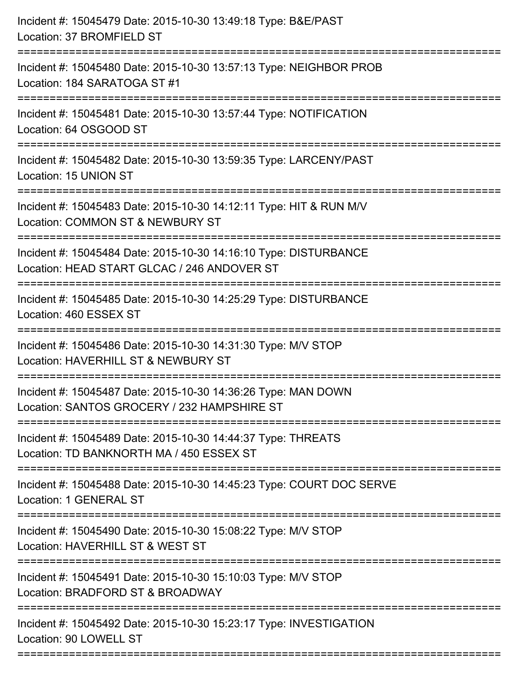| Incident #: 15045479 Date: 2015-10-30 13:49:18 Type: B&E/PAST<br>Location: 37 BROMFIELD ST                                                     |
|------------------------------------------------------------------------------------------------------------------------------------------------|
| Incident #: 15045480 Date: 2015-10-30 13:57:13 Type: NEIGHBOR PROB<br>Location: 184 SARATOGA ST #1                                             |
| Incident #: 15045481 Date: 2015-10-30 13:57:44 Type: NOTIFICATION<br>Location: 64 OSGOOD ST                                                    |
| Incident #: 15045482 Date: 2015-10-30 13:59:35 Type: LARCENY/PAST<br>Location: 15 UNION ST                                                     |
| Incident #: 15045483 Date: 2015-10-30 14:12:11 Type: HIT & RUN M/V<br>Location: COMMON ST & NEWBURY ST                                         |
| Incident #: 15045484 Date: 2015-10-30 14:16:10 Type: DISTURBANCE<br>Location: HEAD START GLCAC / 246 ANDOVER ST                                |
| Incident #: 15045485 Date: 2015-10-30 14:25:29 Type: DISTURBANCE<br>Location: 460 ESSEX ST                                                     |
| Incident #: 15045486 Date: 2015-10-30 14:31:30 Type: M/V STOP<br>Location: HAVERHILL ST & NEWBURY ST                                           |
| Incident #: 15045487 Date: 2015-10-30 14:36:26 Type: MAN DOWN<br>Location: SANTOS GROCERY / 232 HAMPSHIRE ST                                   |
| Incident #: 15045489 Date: 2015-10-30 14:44:37 Type: THREATS<br>Location: TD BANKNORTH MA / 450 ESSEX ST<br>================================== |
| Incident #: 15045488 Date: 2015-10-30 14:45:23 Type: COURT DOC SERVE<br>Location: 1 GENERAL ST                                                 |
| Incident #: 15045490 Date: 2015-10-30 15:08:22 Type: M/V STOP<br>Location: HAVERHILL ST & WEST ST                                              |
| Incident #: 15045491 Date: 2015-10-30 15:10:03 Type: M/V STOP<br>Location: BRADFORD ST & BROADWAY                                              |
| Incident #: 15045492 Date: 2015-10-30 15:23:17 Type: INVESTIGATION<br>Location: 90 LOWELL ST                                                   |
|                                                                                                                                                |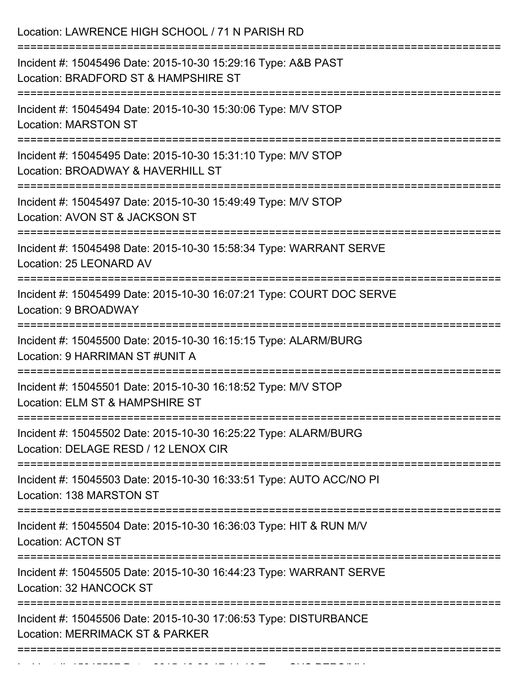| Location: LAWRENCE HIGH SCHOOL / 71 N PARISH RD                                                                                            |
|--------------------------------------------------------------------------------------------------------------------------------------------|
| Incident #: 15045496 Date: 2015-10-30 15:29:16 Type: A&B PAST<br>Location: BRADFORD ST & HAMPSHIRE ST<br>================================= |
| Incident #: 15045494 Date: 2015-10-30 15:30:06 Type: M/V STOP<br><b>Location: MARSTON ST</b>                                               |
| Incident #: 15045495 Date: 2015-10-30 15:31:10 Type: M/V STOP<br>Location: BROADWAY & HAVERHILL ST<br>==============================       |
| Incident #: 15045497 Date: 2015-10-30 15:49:49 Type: M/V STOP<br>Location: AVON ST & JACKSON ST<br>===================                     |
| Incident #: 15045498 Date: 2015-10-30 15:58:34 Type: WARRANT SERVE<br>Location: 25 LEONARD AV                                              |
| Incident #: 15045499 Date: 2015-10-30 16:07:21 Type: COURT DOC SERVE<br>Location: 9 BROADWAY                                               |
| Incident #: 15045500 Date: 2015-10-30 16:15:15 Type: ALARM/BURG<br>Location: 9 HARRIMAN ST #UNIT A                                         |
| Incident #: 15045501 Date: 2015-10-30 16:18:52 Type: M/V STOP<br>Location: ELM ST & HAMPSHIRE ST                                           |
| Incident #: 15045502 Date: 2015-10-30 16:25:22 Type: ALARM/BURG<br>Location: DELAGE RESD / 12 LENOX CIR                                    |
| Incident #: 15045503 Date: 2015-10-30 16:33:51 Type: AUTO ACC/NO PI<br>Location: 138 MARSTON ST                                            |
| Incident #: 15045504 Date: 2015-10-30 16:36:03 Type: HIT & RUN M/V<br><b>Location: ACTON ST</b>                                            |
| Incident #: 15045505 Date: 2015-10-30 16:44:23 Type: WARRANT SERVE<br>Location: 32 HANCOCK ST                                              |
| Incident #: 15045506 Date: 2015-10-30 17:06:53 Type: DISTURBANCE<br>Location: MERRIMACK ST & PARKER                                        |
|                                                                                                                                            |

Incident #: 15045507 Date: 2015 10 30 1511:10 Type: Sub-American<br>.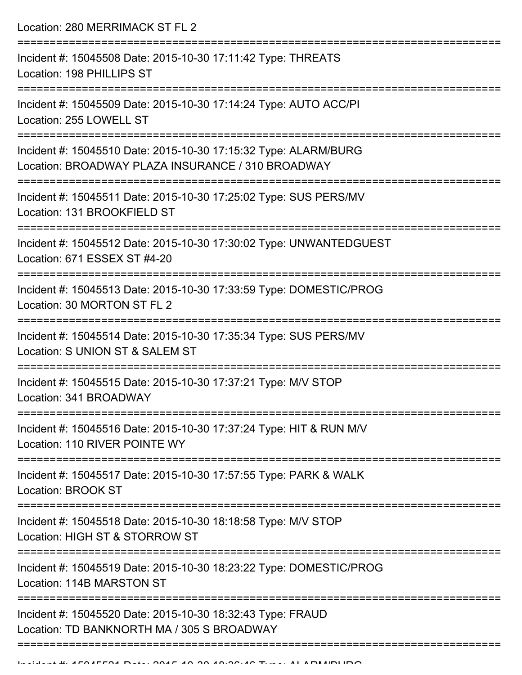Location: 280 MERRIMACK ST FL 2

| Incident #: 15045508 Date: 2015-10-30 17:11:42 Type: THREATS<br>Location: 198 PHILLIPS ST                            |
|----------------------------------------------------------------------------------------------------------------------|
| Incident #: 15045509 Date: 2015-10-30 17:14:24 Type: AUTO ACC/PI<br>Location: 255 LOWELL ST                          |
| Incident #: 15045510 Date: 2015-10-30 17:15:32 Type: ALARM/BURG<br>Location: BROADWAY PLAZA INSURANCE / 310 BROADWAY |
| Incident #: 15045511 Date: 2015-10-30 17:25:02 Type: SUS PERS/MV<br>Location: 131 BROOKFIELD ST<br>:================ |
| Incident #: 15045512 Date: 2015-10-30 17:30:02 Type: UNWANTEDGUEST<br>Location: 671 ESSEX ST #4-20                   |
| Incident #: 15045513 Date: 2015-10-30 17:33:59 Type: DOMESTIC/PROG<br>Location: 30 MORTON ST FL 2                    |
| Incident #: 15045514 Date: 2015-10-30 17:35:34 Type: SUS PERS/MV<br>Location: S UNION ST & SALEM ST                  |
| Incident #: 15045515 Date: 2015-10-30 17:37:21 Type: M/V STOP<br>Location: 341 BROADWAY                              |
| Incident #: 15045516 Date: 2015-10-30 17:37:24 Type: HIT & RUN M/V<br>Location: 110 RIVER POINTE WY                  |
| Incident #: 15045517 Date: 2015-10-30 17:57:55 Type: PARK & WALK<br><b>Location: BROOK ST</b>                        |
| Incident #: 15045518 Date: 2015-10-30 18:18:58 Type: M/V STOP<br>Location: HIGH ST & STORROW ST                      |
| Incident #: 15045519 Date: 2015-10-30 18:23:22 Type: DOMESTIC/PROG<br>Location: 114B MARSTON ST                      |
| Incident #: 15045520 Date: 2015-10-30 18:32:43 Type: FRAUD<br>Location: TD BANKNORTH MA / 305 S BROADWAY             |
|                                                                                                                      |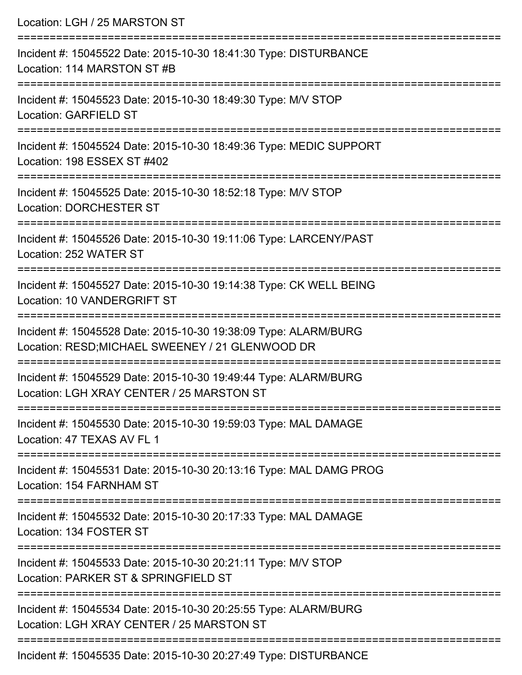| Location: LGH / 25 MARSTON ST                                                                                                          |
|----------------------------------------------------------------------------------------------------------------------------------------|
| Incident #: 15045522 Date: 2015-10-30 18:41:30 Type: DISTURBANCE<br>Location: 114 MARSTON ST #B                                        |
| =====================================<br>Incident #: 15045523 Date: 2015-10-30 18:49:30 Type: M/V STOP<br><b>Location: GARFIELD ST</b> |
| Incident #: 15045524 Date: 2015-10-30 18:49:36 Type: MEDIC SUPPORT<br>Location: 198 ESSEX ST #402                                      |
| Incident #: 15045525 Date: 2015-10-30 18:52:18 Type: M/V STOP<br><b>Location: DORCHESTER ST</b>                                        |
| Incident #: 15045526 Date: 2015-10-30 19:11:06 Type: LARCENY/PAST<br>Location: 252 WATER ST                                            |
| Incident #: 15045527 Date: 2015-10-30 19:14:38 Type: CK WELL BEING<br>Location: 10 VANDERGRIFT ST                                      |
| Incident #: 15045528 Date: 2015-10-30 19:38:09 Type: ALARM/BURG<br>Location: RESD; MICHAEL SWEENEY / 21 GLENWOOD DR                    |
| Incident #: 15045529 Date: 2015-10-30 19:49:44 Type: ALARM/BURG<br>Location: LGH XRAY CENTER / 25 MARSTON ST                           |
| Incident #: 15045530 Date: 2015-10-30 19:59:03 Type: MAL DAMAGE<br>Location: 47 TEXAS AV FL 1                                          |
| Incident #: 15045531 Date: 2015-10-30 20:13:16 Type: MAL DAMG PROG<br>Location: 154 FARNHAM ST                                         |
| Incident #: 15045532 Date: 2015-10-30 20:17:33 Type: MAL DAMAGE<br>Location: 134 FOSTER ST                                             |
| Incident #: 15045533 Date: 2015-10-30 20:21:11 Type: M/V STOP<br>Location: PARKER ST & SPRINGFIELD ST                                  |
| Incident #: 15045534 Date: 2015-10-30 20:25:55 Type: ALARM/BURG<br>Location: LGH XRAY CENTER / 25 MARSTON ST                           |
| Incident #: 15045535 Date: 2015-10-30 20:27:49 Type: DISTURBANCE                                                                       |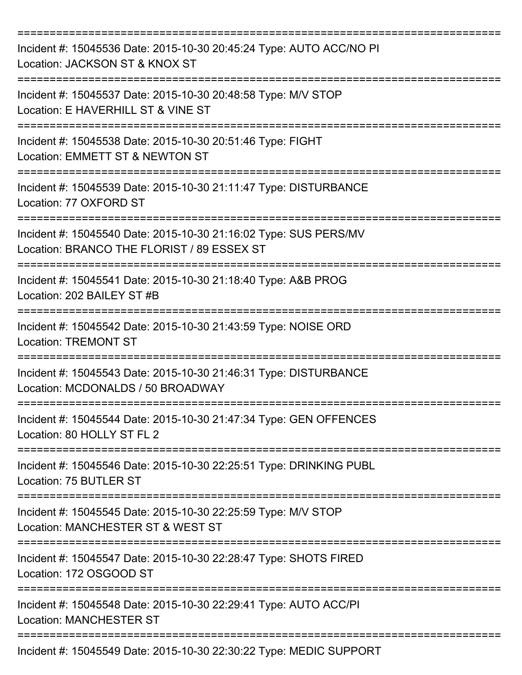| Incident #: 15045536 Date: 2015-10-30 20:45:24 Type: AUTO ACC/NO PI<br>Location: JACKSON ST & KNOX ST          |
|----------------------------------------------------------------------------------------------------------------|
| Incident #: 15045537 Date: 2015-10-30 20:48:58 Type: M/V STOP<br>Location: E HAVERHILL ST & VINE ST            |
| Incident #: 15045538 Date: 2015-10-30 20:51:46 Type: FIGHT<br>Location: EMMETT ST & NEWTON ST                  |
| Incident #: 15045539 Date: 2015-10-30 21:11:47 Type: DISTURBANCE<br>Location: 77 OXFORD ST                     |
| Incident #: 15045540 Date: 2015-10-30 21:16:02 Type: SUS PERS/MV<br>Location: BRANCO THE FLORIST / 89 ESSEX ST |
| Incident #: 15045541 Date: 2015-10-30 21:18:40 Type: A&B PROG<br>Location: 202 BAILEY ST #B                    |
| Incident #: 15045542 Date: 2015-10-30 21:43:59 Type: NOISE ORD<br><b>Location: TREMONT ST</b>                  |
| Incident #: 15045543 Date: 2015-10-30 21:46:31 Type: DISTURBANCE<br>Location: MCDONALDS / 50 BROADWAY          |
| Incident #: 15045544 Date: 2015-10-30 21:47:34 Type: GEN OFFENCES<br>Location: 80 HOLLY ST FL 2                |
| Incident #: 15045546 Date: 2015-10-30 22:25:51 Type: DRINKING PUBL<br>Location: 75 BUTLER ST                   |
| Incident #: 15045545 Date: 2015-10-30 22:25:59 Type: M/V STOP<br>Location: MANCHESTER ST & WEST ST             |
| Incident #: 15045547 Date: 2015-10-30 22:28:47 Type: SHOTS FIRED<br>Location: 172 OSGOOD ST                    |
| Incident #: 15045548 Date: 2015-10-30 22:29:41 Type: AUTO ACC/PI<br><b>Location: MANCHESTER ST</b>             |
| Incident #: 15045549 Date: 2015-10-30 22:30:22 Type: MEDIC SUPPORT                                             |